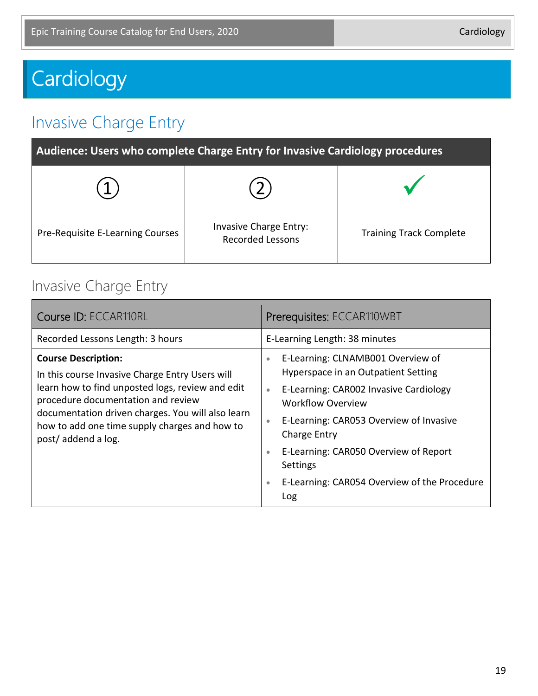# **Cardiology**

# Invasive Charge Entry

| Audience: Users who complete Charge Entry for Invasive Cardiology procedures |                                                   |                                |
|------------------------------------------------------------------------------|---------------------------------------------------|--------------------------------|
|                                                                              |                                                   |                                |
| Pre-Requisite E-Learning Courses                                             | Invasive Charge Entry:<br><b>Recorded Lessons</b> | <b>Training Track Complete</b> |

#### Invasive Charge Entry

| Course ID: ECCAR110RL                                                                                                                                                                                                                                                                               | Prerequisites: ECCAR110WBT                                                                                                                                                                                                                                                                                                                                                      |
|-----------------------------------------------------------------------------------------------------------------------------------------------------------------------------------------------------------------------------------------------------------------------------------------------------|---------------------------------------------------------------------------------------------------------------------------------------------------------------------------------------------------------------------------------------------------------------------------------------------------------------------------------------------------------------------------------|
| Recorded Lessons Length: 3 hours                                                                                                                                                                                                                                                                    | E-Learning Length: 38 minutes                                                                                                                                                                                                                                                                                                                                                   |
| <b>Course Description:</b><br>In this course Invasive Charge Entry Users will<br>learn how to find unposted logs, review and edit<br>procedure documentation and review<br>documentation driven charges. You will also learn<br>how to add one time supply charges and how to<br>post/addend a log. | E-Learning: CLNAMB001 Overview of<br>$\bullet$<br>Hyperspace in an Outpatient Setting<br>E-Learning: CAR002 Invasive Cardiology<br>$\bullet$<br>Workflow Overview<br>E-Learning: CAR053 Overview of Invasive<br>$\bullet$<br>Charge Entry<br>E-Learning: CAR050 Overview of Report<br>$\bullet$<br>Settings<br>E-Learning: CAR054 Overview of the Procedure<br>$\bullet$<br>Log |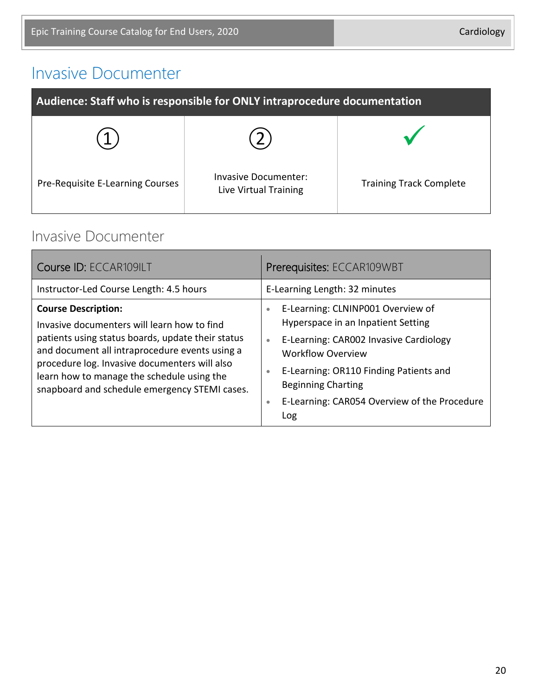#### Invasive Documenter

| Audience: Staff who is responsible for ONLY intraprocedure documentation |                                               |                                |
|--------------------------------------------------------------------------|-----------------------------------------------|--------------------------------|
|                                                                          |                                               |                                |
| Pre-Requisite E-Learning Courses                                         | Invasive Documenter:<br>Live Virtual Training | <b>Training Track Complete</b> |

#### Invasive Documenter

| Course ID: ECCAR109ILT                                                                                                                                                                                                                                                                                                           | Prerequisites: ECCAR109WBT                                                                                                                                                                                                                                                                                                      |
|----------------------------------------------------------------------------------------------------------------------------------------------------------------------------------------------------------------------------------------------------------------------------------------------------------------------------------|---------------------------------------------------------------------------------------------------------------------------------------------------------------------------------------------------------------------------------------------------------------------------------------------------------------------------------|
| Instructor-Led Course Length: 4.5 hours                                                                                                                                                                                                                                                                                          | E-Learning Length: 32 minutes                                                                                                                                                                                                                                                                                                   |
| <b>Course Description:</b><br>Invasive documenters will learn how to find<br>patients using status boards, update their status<br>and document all intraprocedure events using a<br>procedure log. Invasive documenters will also<br>learn how to manage the schedule using the<br>snapboard and schedule emergency STEMI cases. | E-Learning: CLNINP001 Overview of<br>$\bullet$<br>Hyperspace in an Inpatient Setting<br>E-Learning: CAR002 Invasive Cardiology<br>$\bullet$<br><b>Workflow Overview</b><br>E-Learning: OR110 Finding Patients and<br>$\bullet$<br><b>Beginning Charting</b><br>E-Learning: CAR054 Overview of the Procedure<br>$\bullet$<br>Log |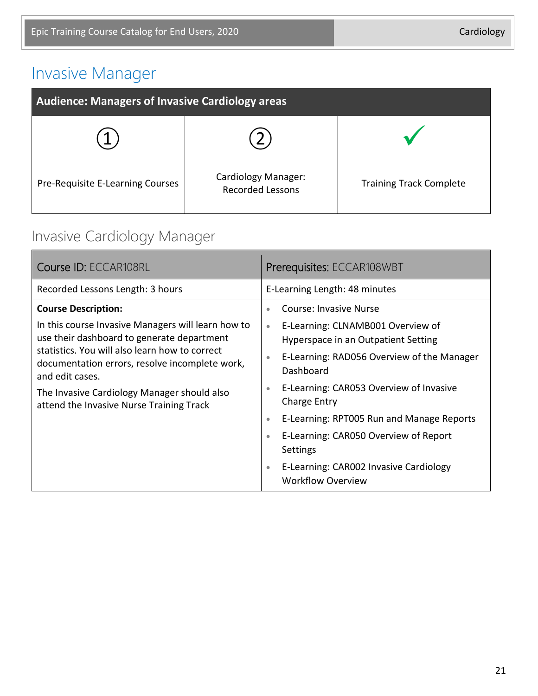# Invasive Manager

| <b>Audience: Managers of Invasive Cardiology areas</b> |                                                |                                |
|--------------------------------------------------------|------------------------------------------------|--------------------------------|
|                                                        |                                                |                                |
| Pre-Requisite E-Learning Courses                       | Cardiology Manager:<br><b>Recorded Lessons</b> | <b>Training Track Complete</b> |

# Invasive Cardiology Manager

| Course ID: ECCAR108RL                                                                                                                                                                                                                                                                                                                            | Prerequisites: ECCAR108WBT                                                                                                                                                                                                                                                                                                                    |  |
|--------------------------------------------------------------------------------------------------------------------------------------------------------------------------------------------------------------------------------------------------------------------------------------------------------------------------------------------------|-----------------------------------------------------------------------------------------------------------------------------------------------------------------------------------------------------------------------------------------------------------------------------------------------------------------------------------------------|--|
| Recorded Lessons Length: 3 hours                                                                                                                                                                                                                                                                                                                 | E-Learning Length: 48 minutes                                                                                                                                                                                                                                                                                                                 |  |
| <b>Course Description:</b><br>In this course Invasive Managers will learn how to<br>use their dashboard to generate department<br>statistics. You will also learn how to correct<br>documentation errors, resolve incomplete work,<br>and edit cases.<br>The Invasive Cardiology Manager should also<br>attend the Invasive Nurse Training Track | <b>Course: Invasive Nurse</b><br>$\bullet$<br>E-Learning: CLNAMB001 Overview of<br>$\bullet$<br>Hyperspace in an Outpatient Setting<br>E-Learning: RAD056 Overview of the Manager<br>$\bullet$<br>Dashboard<br>E-Learning: CAR053 Overview of Invasive<br>$\bullet$<br>Charge Entry<br>E-Learning: RPT005 Run and Manage Reports<br>$\bullet$ |  |
|                                                                                                                                                                                                                                                                                                                                                  | E-Learning: CAR050 Overview of Report<br>$\bullet$<br><b>Settings</b><br>E-Learning: CAR002 Invasive Cardiology<br>$\bullet$<br><b>Workflow Overview</b>                                                                                                                                                                                      |  |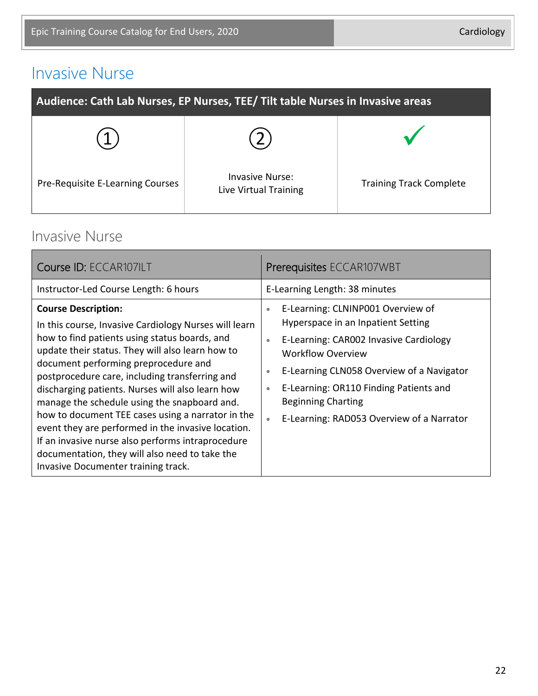## Invasive Nurse

| Audience: Cath Lab Nurses, EP Nurses, TEE/ Tilt table Nurses in Invasive areas |                                                 |                                |
|--------------------------------------------------------------------------------|-------------------------------------------------|--------------------------------|
|                                                                                |                                                 |                                |
| Pre-Requisite E-Learning Courses                                               | <b>Invasive Nurse:</b><br>Live Virtual Training | <b>Training Track Complete</b> |

#### Invasive Nurse

| Course ID: ECCAR107ILT                                                                                                                                                                                                                                                                                                                                                                                                                                                                                                                                                                                                                          | Prerequisites ECCAR107WBT                                                                                                                                                                                                                                                                                                                                                |
|-------------------------------------------------------------------------------------------------------------------------------------------------------------------------------------------------------------------------------------------------------------------------------------------------------------------------------------------------------------------------------------------------------------------------------------------------------------------------------------------------------------------------------------------------------------------------------------------------------------------------------------------------|--------------------------------------------------------------------------------------------------------------------------------------------------------------------------------------------------------------------------------------------------------------------------------------------------------------------------------------------------------------------------|
| Instructor-Led Course Length: 6 hours                                                                                                                                                                                                                                                                                                                                                                                                                                                                                                                                                                                                           | E-Learning Length: 38 minutes                                                                                                                                                                                                                                                                                                                                            |
| <b>Course Description:</b><br>In this course, Invasive Cardiology Nurses will learn<br>how to find patients using status boards, and<br>update their status. They will also learn how to<br>document performing preprocedure and<br>postprocedure care, including transferring and<br>discharging patients. Nurses will also learn how<br>manage the schedule using the snapboard and.<br>how to document TEE cases using a narrator in the<br>event they are performed in the invasive location.<br>If an invasive nurse also performs intraprocedure<br>documentation, they will also need to take the<br>Invasive Documenter training track. | E-Learning: CLNINP001 Overview of<br>$\bullet$<br>Hyperspace in an Inpatient Setting<br>E-Learning: CAR002 Invasive Cardiology<br>$\bullet$<br>Workflow Overview<br>E-Learning CLN058 Overview of a Navigator<br>$\bullet$<br>E-Learning: OR110 Finding Patients and<br>$\bullet$<br><b>Beginning Charting</b><br>E-Learning: RAD053 Overview of a Narrator<br>$\bullet$ |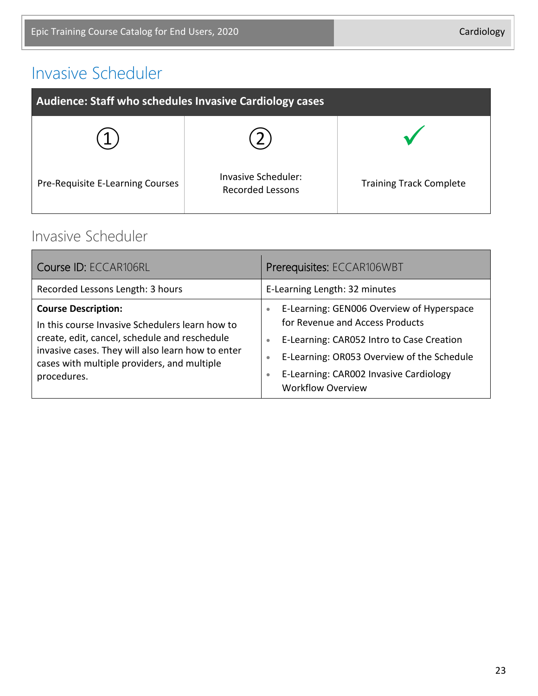# Invasive Scheduler

| Audience: Staff who schedules Invasive Cardiology cases |                                                |                                |
|---------------------------------------------------------|------------------------------------------------|--------------------------------|
|                                                         |                                                |                                |
| Pre-Requisite E-Learning Courses                        | Invasive Scheduler:<br><b>Recorded Lessons</b> | <b>Training Track Complete</b> |

#### Invasive Scheduler

| Course ID: ECCAR106RL                                                                                                                                                                                                                             | Prerequisites: ECCAR106WBT                                                                                                                                                                                                                                                                        |
|---------------------------------------------------------------------------------------------------------------------------------------------------------------------------------------------------------------------------------------------------|---------------------------------------------------------------------------------------------------------------------------------------------------------------------------------------------------------------------------------------------------------------------------------------------------|
| Recorded Lessons Length: 3 hours                                                                                                                                                                                                                  | E-Learning Length: 32 minutes                                                                                                                                                                                                                                                                     |
| <b>Course Description:</b><br>In this course Invasive Schedulers learn how to<br>create, edit, cancel, schedule and reschedule<br>invasive cases. They will also learn how to enter<br>cases with multiple providers, and multiple<br>procedures. | E-Learning: GEN006 Overview of Hyperspace<br>$\bullet$<br>for Revenue and Access Products<br>E-Learning: CAR052 Intro to Case Creation<br>$\bullet$<br>E-Learning: OR053 Overview of the Schedule<br>$\bullet$<br>E-Learning: CAR002 Invasive Cardiology<br>$\bullet$<br><b>Workflow Overview</b> |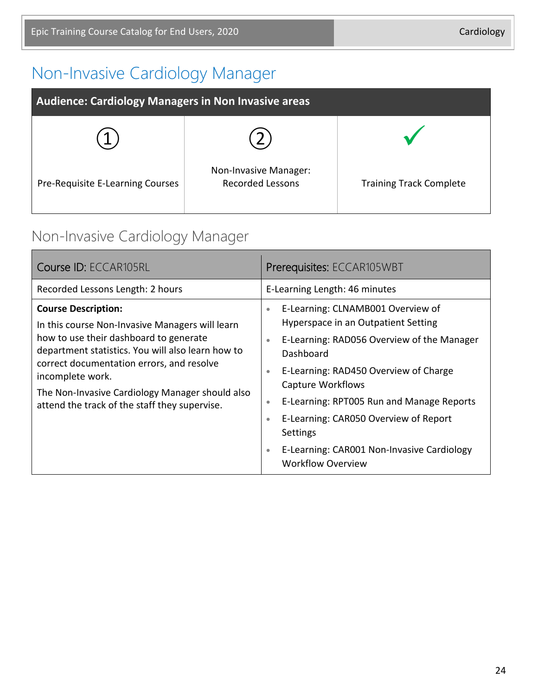# Non-Invasive Cardiology Manager

| <b>Audience: Cardiology Managers in Non Invasive areas</b> |                                                  |                                |
|------------------------------------------------------------|--------------------------------------------------|--------------------------------|
|                                                            |                                                  |                                |
| Pre-Requisite E-Learning Courses                           | Non-Invasive Manager:<br><b>Recorded Lessons</b> | <b>Training Track Complete</b> |

#### Non-Invasive Cardiology Manager

| Course ID: ECCAR105RL                                                                                                                                                                                                                                                                                                                             | Prerequisites: ECCAR105WBT                                                                                                                                                                                                                                                                                                                                                                                                                                  |
|---------------------------------------------------------------------------------------------------------------------------------------------------------------------------------------------------------------------------------------------------------------------------------------------------------------------------------------------------|-------------------------------------------------------------------------------------------------------------------------------------------------------------------------------------------------------------------------------------------------------------------------------------------------------------------------------------------------------------------------------------------------------------------------------------------------------------|
| Recorded Lessons Length: 2 hours                                                                                                                                                                                                                                                                                                                  | E-Learning Length: 46 minutes                                                                                                                                                                                                                                                                                                                                                                                                                               |
| <b>Course Description:</b><br>In this course Non-Invasive Managers will learn<br>how to use their dashboard to generate<br>department statistics. You will also learn how to<br>correct documentation errors, and resolve<br>incomplete work.<br>The Non-Invasive Cardiology Manager should also<br>attend the track of the staff they supervise. | E-Learning: CLNAMB001 Overview of<br>$\bullet$<br>Hyperspace in an Outpatient Setting<br>E-Learning: RAD056 Overview of the Manager<br>$\bullet$<br>Dashboard<br>E-Learning: RAD450 Overview of Charge<br>$\bullet$<br>Capture Workflows<br>E-Learning: RPT005 Run and Manage Reports<br>$\bullet$<br>E-Learning: CAR050 Overview of Report<br>$\bullet$<br>Settings<br>E-Learning: CAR001 Non-Invasive Cardiology<br>$\bullet$<br><b>Workflow Overview</b> |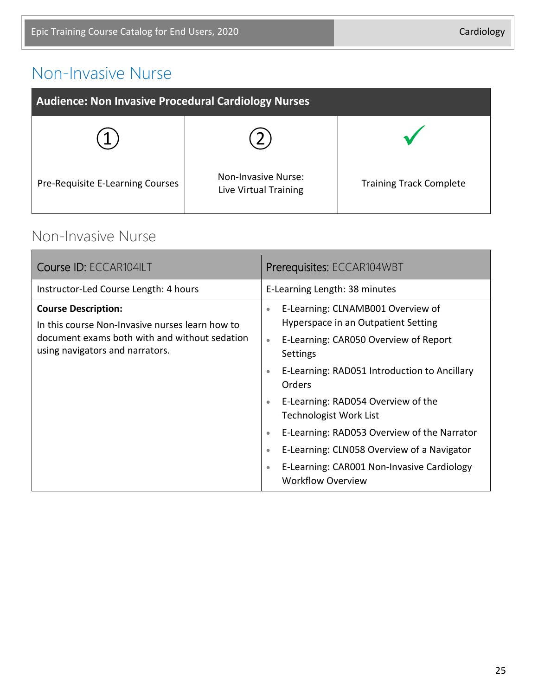## Non-Invasive Nurse

| <b>Audience: Non Invasive Procedural Cardiology Nurses</b> |                                                     |                                |
|------------------------------------------------------------|-----------------------------------------------------|--------------------------------|
|                                                            |                                                     |                                |
| Pre-Requisite E-Learning Courses                           | <b>Non-Invasive Nurse:</b><br>Live Virtual Training | <b>Training Track Complete</b> |

#### Non-Invasive Nurse

| Course ID: ECCAR104ILT                                                                                                                                            | Prerequisites: ECCAR104WBT                                                                                                                                                                                                                                                                                                                                                                                                                                                                                                              |
|-------------------------------------------------------------------------------------------------------------------------------------------------------------------|-----------------------------------------------------------------------------------------------------------------------------------------------------------------------------------------------------------------------------------------------------------------------------------------------------------------------------------------------------------------------------------------------------------------------------------------------------------------------------------------------------------------------------------------|
| Instructor-Led Course Length: 4 hours                                                                                                                             | E-Learning Length: 38 minutes                                                                                                                                                                                                                                                                                                                                                                                                                                                                                                           |
| <b>Course Description:</b><br>In this course Non-Invasive nurses learn how to<br>document exams both with and without sedation<br>using navigators and narrators. | E-Learning: CLNAMB001 Overview of<br>$\bullet$<br>Hyperspace in an Outpatient Setting<br>E-Learning: CAR050 Overview of Report<br>$\bullet$<br>Settings<br>E-Learning: RAD051 Introduction to Ancillary<br>$\bullet$<br><b>Orders</b><br>E-Learning: RAD054 Overview of the<br>$\bullet$<br><b>Technologist Work List</b><br>E-Learning: RAD053 Overview of the Narrator<br>$\bullet$<br>E-Learning: CLN058 Overview of a Navigator<br>$\bullet$<br>E-Learning: CAR001 Non-Invasive Cardiology<br>$\bullet$<br><b>Workflow Overview</b> |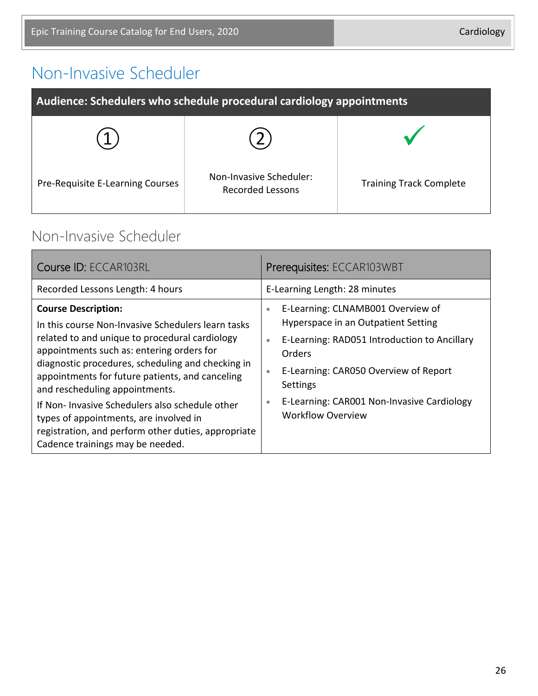# Non-Invasive Scheduler

| Audience: Schedulers who schedule procedural cardiology appointments |                                                    |                                |
|----------------------------------------------------------------------|----------------------------------------------------|--------------------------------|
|                                                                      |                                                    |                                |
| Pre-Requisite E-Learning Courses                                     | Non-Invasive Scheduler:<br><b>Recorded Lessons</b> | <b>Training Track Complete</b> |

#### Non-Invasive Scheduler

| Course ID: ECCAR103RL                                                                                                                                                                                                                                                                                                                                                                                                                                                                                            | Prerequisites: ECCAR103WBT                                                                                                                                                                                                                                                                                            |
|------------------------------------------------------------------------------------------------------------------------------------------------------------------------------------------------------------------------------------------------------------------------------------------------------------------------------------------------------------------------------------------------------------------------------------------------------------------------------------------------------------------|-----------------------------------------------------------------------------------------------------------------------------------------------------------------------------------------------------------------------------------------------------------------------------------------------------------------------|
| Recorded Lessons Length: 4 hours                                                                                                                                                                                                                                                                                                                                                                                                                                                                                 | E-Learning Length: 28 minutes                                                                                                                                                                                                                                                                                         |
| <b>Course Description:</b><br>In this course Non-Invasive Schedulers learn tasks<br>related to and unique to procedural cardiology<br>appointments such as: entering orders for<br>diagnostic procedures, scheduling and checking in<br>appointments for future patients, and canceling<br>and rescheduling appointments.<br>If Non-Invasive Schedulers also schedule other<br>types of appointments, are involved in<br>registration, and perform other duties, appropriate<br>Cadence trainings may be needed. | E-Learning: CLNAMB001 Overview of<br>$\bullet$<br>Hyperspace in an Outpatient Setting<br>E-Learning: RAD051 Introduction to Ancillary<br>$\bullet$<br>Orders<br>E-Learning: CAR050 Overview of Report<br>$\bullet$<br>Settings<br>E-Learning: CAR001 Non-Invasive Cardiology<br>$\bullet$<br><b>Workflow Overview</b> |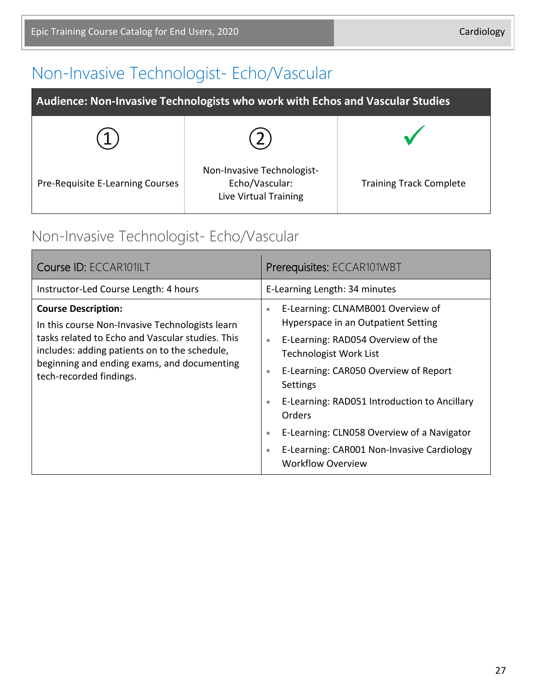# Non-Invasive Technologist- Echo/Vascular

| Audience: Non-Invasive Technologists who work with Echos and Vascular Studies |                                                                       |                                |
|-------------------------------------------------------------------------------|-----------------------------------------------------------------------|--------------------------------|
|                                                                               |                                                                       |                                |
| Pre-Requisite E-Learning Courses                                              | Non-Invasive Technologist-<br>Echo/Vascular:<br>Live Virtual Training | <b>Training Track Complete</b> |

# Non-Invasive Technologist- Echo/Vascular

| Course ID: ECCAR101ILT                                                                                                                                                                                                                                       | Prerequisites: ECCAR101WBT                                                                                                                                                                                                                                                                                                                                                                                                                                                         |  |
|--------------------------------------------------------------------------------------------------------------------------------------------------------------------------------------------------------------------------------------------------------------|------------------------------------------------------------------------------------------------------------------------------------------------------------------------------------------------------------------------------------------------------------------------------------------------------------------------------------------------------------------------------------------------------------------------------------------------------------------------------------|--|
| Instructor-Led Course Length: 4 hours                                                                                                                                                                                                                        | E-Learning Length: 34 minutes                                                                                                                                                                                                                                                                                                                                                                                                                                                      |  |
| <b>Course Description:</b><br>In this course Non-Invasive Technologists learn<br>tasks related to Echo and Vascular studies. This<br>includes: adding patients on to the schedule,<br>beginning and ending exams, and documenting<br>tech-recorded findings. | E-Learning: CLNAMB001 Overview of<br>$\bullet$<br>Hyperspace in an Outpatient Setting<br>E-Learning: RAD054 Overview of the<br>$\bullet$<br><b>Technologist Work List</b><br>E-Learning: CAR050 Overview of Report<br>$\bullet$<br><b>Settings</b><br>E-Learning: RAD051 Introduction to Ancillary<br>$\bullet$<br><b>Orders</b><br>E-Learning: CLN058 Overview of a Navigator<br>$\bullet$<br>E-Learning: CAR001 Non-Invasive Cardiology<br>$\bullet$<br><b>Workflow Overview</b> |  |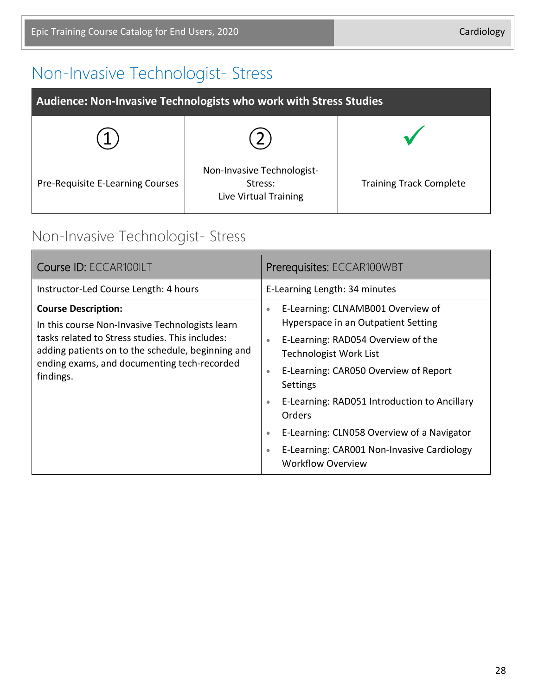# Non-Invasive Technologist- Stress

| Audience: Non-Invasive Technologists who work with Stress Studies |                                                                |                                |
|-------------------------------------------------------------------|----------------------------------------------------------------|--------------------------------|
|                                                                   |                                                                |                                |
| Pre-Requisite E-Learning Courses                                  | Non-Invasive Technologist-<br>Stress:<br>Live Virtual Training | <b>Training Track Complete</b> |

#### Non-Invasive Technologist- Stress

| Course ID: ECCAR100ILT                                                                                                                                                                                                                            | Prerequisites: ECCAR100WBT                                                                                                                                                                                                                                                                                                                                                                                                                                                  |  |
|---------------------------------------------------------------------------------------------------------------------------------------------------------------------------------------------------------------------------------------------------|-----------------------------------------------------------------------------------------------------------------------------------------------------------------------------------------------------------------------------------------------------------------------------------------------------------------------------------------------------------------------------------------------------------------------------------------------------------------------------|--|
| Instructor-Led Course Length: 4 hours                                                                                                                                                                                                             | E-Learning Length: 34 minutes                                                                                                                                                                                                                                                                                                                                                                                                                                               |  |
| <b>Course Description:</b><br>In this course Non-Invasive Technologists learn<br>tasks related to Stress studies. This includes:<br>adding patients on to the schedule, beginning and<br>ending exams, and documenting tech-recorded<br>findings. | E-Learning: CLNAMB001 Overview of<br>$\bullet$<br>Hyperspace in an Outpatient Setting<br>E-Learning: RAD054 Overview of the<br>$\bullet$<br><b>Technologist Work List</b><br>E-Learning: CAR050 Overview of Report<br>$\bullet$<br>Settings<br>E-Learning: RAD051 Introduction to Ancillary<br>$\bullet$<br><b>Orders</b><br>E-Learning: CLN058 Overview of a Navigator<br>$\bullet$<br>E-Learning: CAR001 Non-Invasive Cardiology<br>$\bullet$<br><b>Workflow Overview</b> |  |